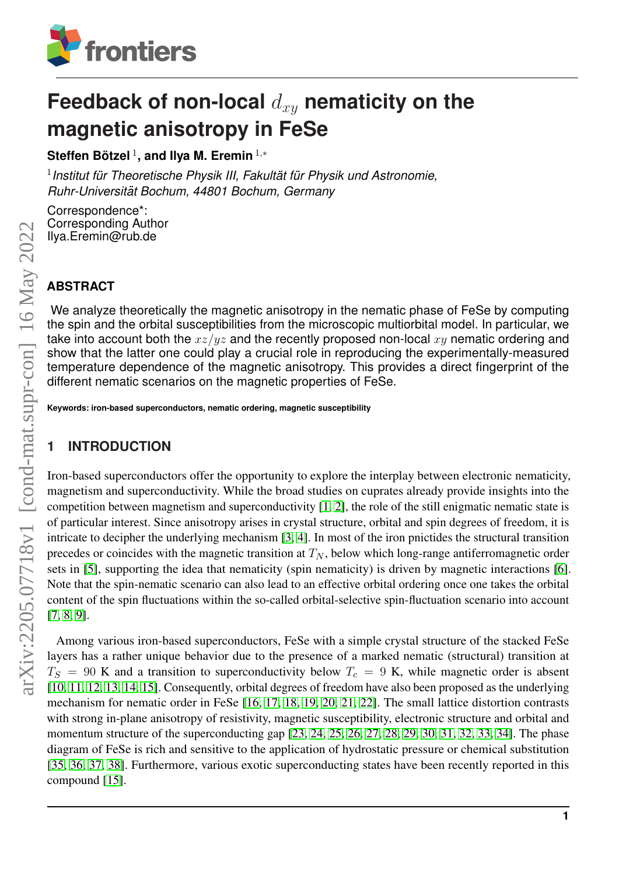

# Feedback of non-local  $d_{xy}$  nematicity on the **magnetic anisotropy in FeSe**

**Steffen Bötzel**  $^1$ **, and Ilya M. Eremin**  $^{1,\ast}$ 

<sup>1</sup> Institut für Theoretische Physik III, Fakultät für Physik und Astronomie, *Ruhr-Universitat Bochum, 44801 Bochum, Germany ¨*

Correspondence\*: Corresponding Author Ilya.Eremin@rub.de

# **ABSTRACT**

We analyze theoretically the magnetic anisotropy in the nematic phase of FeSe by computing the spin and the orbital susceptibilities from the microscopic multiorbital model. In particular, we take into account both the  $xz/yz$  and the recently proposed non-local  $xy$  nematic ordering and show that the latter one could play a crucial role in reproducing the experimentally-measured temperature dependence of the magnetic anisotropy. This provides a direct fingerprint of the different nematic scenarios on the magnetic properties of FeSe.

**Keywords: iron-based superconductors, nematic ordering, magnetic susceptibility**

# **1 INTRODUCTION**

Iron-based superconductors offer the opportunity to explore the interplay between electronic nematicity, magnetism and superconductivity. While the broad studies on cuprates already provide insights into the competition between magnetism and superconductivity [\[1,](#page-8-0) [2\]](#page-8-1), the role of the still enigmatic nematic state is of particular interest. Since anisotropy arises in crystal structure, orbital and spin degrees of freedom, it is intricate to decipher the underlying mechanism [\[3,](#page-8-2) [4\]](#page-8-3). In most of the iron pnictides the structural transition precedes or coincides with the magnetic transition at  $T_N$ , below which long-range antiferromagnetic order sets in [\[5\]](#page-8-4), supporting the idea that nematicity (spin nematicity) is driven by magnetic interactions [\[6\]](#page-8-5). Note that the spin-nematic scenario can also lead to an effective orbital ordering once one takes the orbital content of the spin fluctuations within the so-called orbital-selective spin-fluctuation scenario into account [\[7,](#page-8-6) [8,](#page-8-7) [9\]](#page-8-8).

Among various iron-based superconductors, FeSe with a simple crystal structure of the stacked FeSe layers has a rather unique behavior due to the presence of a marked nematic (structural) transition at  $T<sub>S</sub> = 90$  K and a transition to superconductivity below  $T<sub>c</sub> = 9$  K, while magnetic order is absent [\[10,](#page-8-9) [11,](#page-8-10) [12,](#page-8-11) [13,](#page-8-12) [14,](#page-9-0) [15\]](#page-9-1). Consequently, orbital degrees of freedom have also been proposed as the underlying mechanism for nematic order in FeSe [\[16,](#page-9-2) [17,](#page-9-3) [18,](#page-9-4) [19,](#page-9-5) [20,](#page-9-6) [21,](#page-9-7) [22\]](#page-9-8). The small lattice distortion contrasts with strong in-plane anisotropy of resistivity, magnetic susceptibility, electronic structure and orbital and momentum structure of the superconducting gap [\[23,](#page-9-9) [24,](#page-9-10) [25,](#page-9-11) [26,](#page-9-12) [27,](#page-9-13) [28,](#page-9-14) [29,](#page-9-15) [30,](#page-9-16) [31,](#page-9-17) [32,](#page-10-0) [33,](#page-10-1) [34\]](#page-10-2). The phase diagram of FeSe is rich and sensitive to the application of hydrostatic pressure or chemical substitution [\[35,](#page-10-3) [36,](#page-10-4) [37,](#page-10-5) [38\]](#page-10-6). Furthermore, various exotic superconducting states have been recently reported in this compound [\[15\]](#page-9-1).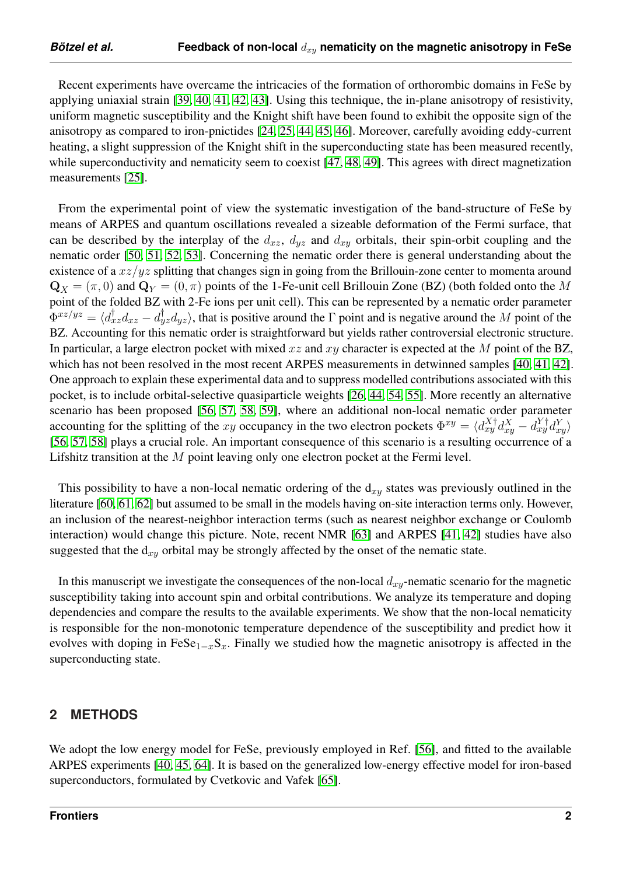Recent experiments have overcame the intricacies of the formation of orthorombic domains in FeSe by applying uniaxial strain [\[39,](#page-10-7) [40,](#page-10-8) [41,](#page-10-9) [42,](#page-10-10) [43\]](#page-10-11). Using this technique, the in-plane anisotropy of resistivity, uniform magnetic susceptibility and the Knight shift have been found to exhibit the opposite sign of the anisotropy as compared to iron-pnictides [\[24,](#page-9-10) [25,](#page-9-11) [44,](#page-10-12) [45,](#page-10-13) [46\]](#page-10-14). Moreover, carefully avoiding eddy-current heating, a slight suppression of the Knight shift in the superconducting state has been measured recently, while superconductivity and nematicity seem to coexist [\[47,](#page-10-15) [48,](#page-10-16) [49\]](#page-10-17). This agrees with direct magnetization measurements [\[25\]](#page-9-11).

From the experimental point of view the systematic investigation of the band-structure of FeSe by means of ARPES and quantum oscillations revealed a sizeable deformation of the Fermi surface, that can be described by the interplay of the  $d_{xz}$ ,  $d_{yz}$  and  $d_{xy}$  orbitals, their spin-orbit coupling and the nematic order [\[50,](#page-10-18) [51,](#page-11-0) [52,](#page-11-1) [53\]](#page-11-2). Concerning the nematic order there is general understanding about the existence of a  $xz/yz$  splitting that changes sign in going from the Brillouin-zone center to momenta around  $\mathbf{Q}_X = (\pi, 0)$  and  $\mathbf{Q}_Y = (0, \pi)$  points of the 1-Fe-unit cell Brillouin Zone (BZ) (both folded onto the M point of the folded BZ with 2-Fe ions per unit cell). This can be represented by a nematic order parameter  $\Phi^{xz/yz} = \langle d_{xz}^\dagger d_{xz} - d_{yz}^\dagger d_{yz} \rangle$ , that is positive around the  $\Gamma$  point and is negative around the M point of the BZ. Accounting for this nematic order is straightforward but yields rather controversial electronic structure. In particular, a large electron pocket with mixed xx and xy character is expected at the M point of the BZ, which has not been resolved in the most recent ARPES measurements in detwinned samples [\[40,](#page-10-8) [41,](#page-10-9) [42\]](#page-10-10). One approach to explain these experimental data and to suppress modelled contributions associated with this pocket, is to include orbital-selective quasiparticle weights [\[26,](#page-9-12) [44,](#page-10-12) [54,](#page-11-3) [55\]](#page-11-4). More recently an alternative scenario has been proposed [\[56,](#page-11-5) [57,](#page-11-6) [58,](#page-11-7) [59\]](#page-11-8), where an additional non-local nematic order parameter accounting for the splitting of the xy occupancy in the two electron pockets  $\Phi^{xy} = \langle d_{xy}^{X\dagger} d_{xy}^X - d_{xy}^{Y\dagger} d_{xy}^Y \rangle$ [\[56,](#page-11-5) [57,](#page-11-6) [58\]](#page-11-7) plays a crucial role. An important consequence of this scenario is a resulting occurrence of a Lifshitz transition at the  $M$  point leaving only one electron pocket at the Fermi level.

This possibility to have a non-local nematic ordering of the  $d_{xy}$  states was previously outlined in the literature [\[60,](#page-11-9) [61,](#page-11-10) [62\]](#page-11-11) but assumed to be small in the models having on-site interaction terms only. However, an inclusion of the nearest-neighbor interaction terms (such as nearest neighbor exchange or Coulomb interaction) would change this picture. Note, recent NMR [\[63\]](#page-11-12) and ARPES [\[41,](#page-10-9) [42\]](#page-10-10) studies have also suggested that the  $d_{xy}$  orbital may be strongly affected by the onset of the nematic state.

In this manuscript we investigate the consequences of the non-local  $d_{xy}$ -nematic scenario for the magnetic susceptibility taking into account spin and orbital contributions. We analyze its temperature and doping dependencies and compare the results to the available experiments. We show that the non-local nematicity is responsible for the non-monotonic temperature dependence of the susceptibility and predict how it evolves with doping in  $\text{FeSe}_{1-x}S_x$ . Finally we studied how the magnetic anisotropy is affected in the superconducting state.

## **2 METHODS**

We adopt the low energy model for FeSe, previously employed in Ref. [\[56\]](#page-11-5), and fitted to the available ARPES experiments [\[40,](#page-10-8) [45,](#page-10-13) [64\]](#page-11-13). It is based on the generalized low-energy effective model for iron-based superconductors, formulated by Cvetkovic and Vafek [\[65\]](#page-11-14).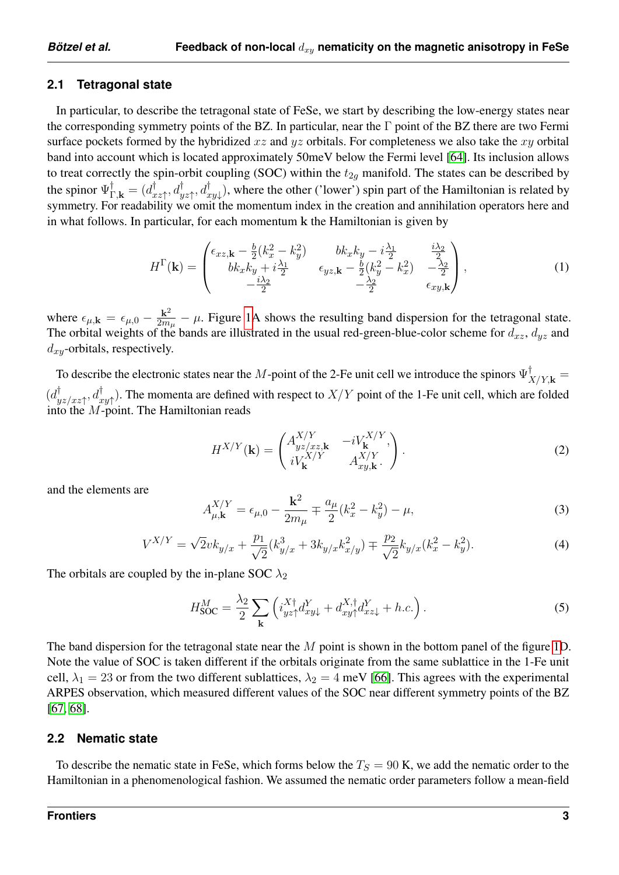#### **2.1 Tetragonal state**

In particular, to describe the tetragonal state of FeSe, we start by describing the low-energy states near the corresponding symmetry points of the BZ. In particular, near the  $\Gamma$  point of the BZ there are two Fermi surface pockets formed by the hybridized  $xz$  and  $yz$  orbitals. For completeness we also take the  $xy$  orbital band into account which is located approximately 50meV below the Fermi level [\[64\]](#page-11-13). Its inclusion allows to treat correctly the spin-orbit coupling (SOC) within the  $t_{2q}$  manifold. The states can be described by the spinor  $\Psi_{\Gamma,\textbf{k}}^{\dagger} = (d_{x}^{\dagger})$  $x_{x\uparrow}$ ,  $d_{yz\uparrow}^{\dagger}$ ,  $d_{xy\downarrow}^{\dagger}$ ), where the other ('lower') spin part of the Hamiltonian is related by symmetry. For readability we omit the momentum index in the creation and annihilation operators here and in what follows. In particular, for each momentum k the Hamiltonian is given by

$$
H^{\Gamma}(\mathbf{k}) = \begin{pmatrix} \epsilon_{xz,\mathbf{k}} - \frac{b}{2} (k_x^2 - k_y^2) & bk_x k_y - i\frac{\lambda_1}{2} & \frac{i\lambda_2}{2} \\ bk_x k_y + i\frac{\lambda_1}{2} & \epsilon_{yz,\mathbf{k}} - \frac{b}{2} (k_y^2 - k_x^2) & -\frac{\lambda_2}{2} \\ -\frac{i\lambda_2}{2} & -\frac{\lambda_2}{2} & \epsilon_{xy,\mathbf{k}} \end{pmatrix},
$$
(1)

where  $\epsilon_{\mu, \mathbf{k}} = \epsilon_{\mu, 0} - \frac{\mathbf{k}^2}{2m}$  $\frac{\mathbf{k}^2}{2m_\mu} - \mu$ . Figure [1A](#page-13-0) shows the resulting band dispersion for the tetragonal state. The orbital weights of the bands are illustrated in the usual red-green-blue-color scheme for  $d_{xz}$ ,  $d_{yz}$  and  $d_{xy}$ -orbitals, respectively.

To describe the electronic states near the M-point of the 2-Fe unit cell we introduce the spinors  $\Psi^\dagger_{X/Y,\mathbf{k}} =$  $(d_{i}^{\dagger})$  $\psi_{yz/xz\uparrow}$ ,  $d_{xy\uparrow}^{\dagger}$ ). The momenta are defined with respect to  $X/Y$  point of the 1-Fe unit cell, which are folded into the  $M$ -point. The Hamiltonian reads

$$
H^{X/Y}(\mathbf{k}) = \begin{pmatrix} A_{yz/x,\mathbf{k}}^{X/Y} & -iV_{\mathbf{k}}^{X/Y}, \\ iV_{\mathbf{k}}^{X/Y} & A_{xy,\mathbf{k}}^{X/Y} \end{pmatrix} . \tag{2}
$$

and the elements are

$$
A_{\mu,\mathbf{k}}^{X/Y} = \epsilon_{\mu,0} - \frac{\mathbf{k}^2}{2m_{\mu}} \mp \frac{a_{\mu}}{2} (k_x^2 - k_y^2) - \mu,
$$
\n(3)

$$
V^{X/Y} = \sqrt{2}vk_{y/x} + \frac{p_1}{\sqrt{2}}(k_{y/x}^3 + 3k_{y/x}k_{x/y}^2) \mp \frac{p_2}{\sqrt{2}}k_{y/x}(k_x^2 - k_y^2).
$$
 (4)

The orbitals are coupled by the in-plane SOC  $\lambda_2$ 

$$
H_{\text{SOC}}^{M} = \frac{\lambda_2}{2} \sum_{\mathbf{k}} \left( i_{yz\uparrow}^{X\uparrow} d_{xy\downarrow}^{Y} + d_{xy\uparrow}^{X\uparrow} d_{xz\downarrow}^{Y} + h.c. \right). \tag{5}
$$

The band dispersion for the tetragonal state near the M point is shown in the bottom panel of the figure [1D](#page-13-0). Note the value of SOC is taken different if the orbitals originate from the same sublattice in the 1-Fe unit cell,  $\lambda_1 = 23$  or from the two different sublattices,  $\lambda_2 = 4$  meV [\[66\]](#page-11-15). This agrees with the experimental ARPES observation, which measured different values of the SOC near different symmetry points of the BZ [\[67,](#page-11-16) [68\]](#page-11-17).

#### **2.2 Nematic state**

To describe the nematic state in FeSe, which forms below the  $T<sub>S</sub> = 90$  K, we add the nematic order to the Hamiltonian in a phenomenological fashion. We assumed the nematic order parameters follow a mean-field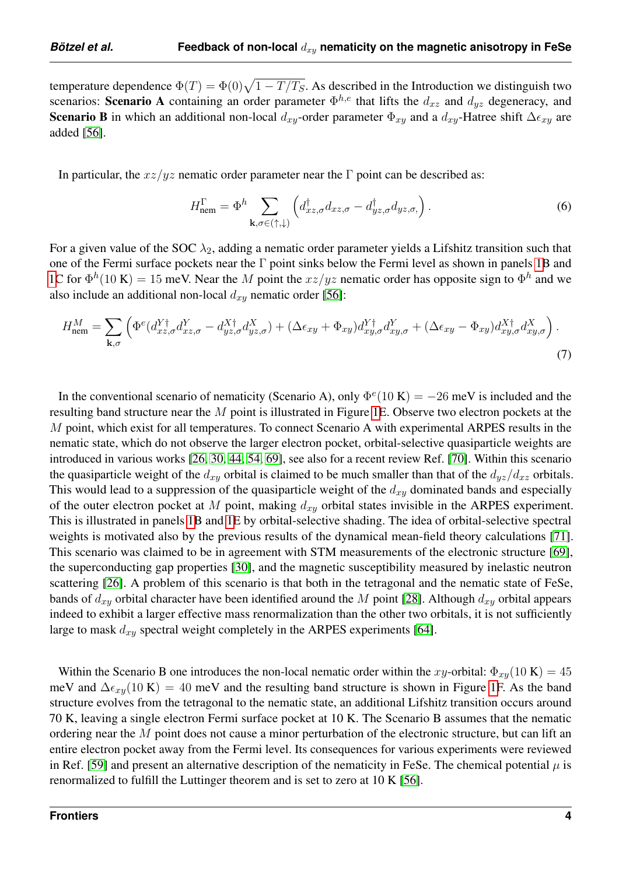temperature dependence  $\Phi(T) = \Phi(0)\sqrt{1 - T/T_S}$ . As described in the Introduction we distinguish two scenarios: **Scenario A** containing an order parameter  $\Phi^{h,e}$  that lifts the  $d_{xz}$  and  $d_{yz}$  degeneracy, and **Scenario B** in which an additional non-local  $d_{xy}$ -order parameter  $\Phi_{xy}$  and a  $d_{xy}$ -Hatree shift  $\Delta \epsilon_{xy}$  are added [\[56\]](#page-11-5).

In particular, the  $xz/yz$  nematic order parameter near the  $\Gamma$  point can be described as:

$$
H_{\text{nem}}^{\Gamma} = \Phi^h \sum_{\mathbf{k},\sigma \in (\uparrow,\downarrow)} \left( d_{xz,\sigma}^{\dagger} d_{xz,\sigma} - d_{yz,\sigma}^{\dagger} d_{yz,\sigma} \right). \tag{6}
$$

For a given value of the SOC  $\lambda_2$ , adding a nematic order parameter yields a Lifshitz transition such that one of the Fermi surface pockets near the Γ point sinks below the Fermi level as shown in panels [1B](#page-13-0) and [1C](#page-13-0) for  $\Phi^h(10\text{ K}) = 15$  meV. Near the M point the  $xz/yz$  nematic order has opposite sign to  $\Phi^h$  and we also include an additional non-local  $d_{xy}$  nematic order [\[56\]](#page-11-5):

$$
H_{\text{nem}}^M = \sum_{\mathbf{k},\sigma} \left( \Phi^e(d_{xz,\sigma}^{Y\dagger} d_{xz,\sigma}^Y - d_{yz,\sigma}^{X\dagger} d_{yz,\sigma}^X) + (\Delta \epsilon_{xy} + \Phi_{xy}) d_{xy,\sigma}^{Y\dagger} d_{xy,\sigma}^Y + (\Delta \epsilon_{xy} - \Phi_{xy}) d_{xy,\sigma}^{X\dagger} d_{xy,\sigma}^X \right). \tag{7}
$$

In the conventional scenario of nematicity (Scenario A), only  $\Phi^e(10 \text{ K}) = -26 \text{ meV}$  is included and the resulting band structure near the M point is illustrated in Figure [1E](#page-13-0). Observe two electron pockets at the M point, which exist for all temperatures. To connect Scenario A with experimental ARPES results in the nematic state, which do not observe the larger electron pocket, orbital-selective quasiparticle weights are introduced in various works [\[26,](#page-9-12) [30,](#page-9-16) [44,](#page-10-12) [54,](#page-11-3) [69\]](#page-12-0), see also for a recent review Ref. [\[70\]](#page-12-1). Within this scenario the quasiparticle weight of the  $d_{xy}$  orbital is claimed to be much smaller than that of the  $d_{yz}/d_{xz}$  orbitals. This would lead to a suppression of the quasiparticle weight of the  $d_{xy}$  dominated bands and especially of the outer electron pocket at M point, making  $d_{xy}$  orbital states invisible in the ARPES experiment. This is illustrated in panels [1B](#page-13-0) and [1E](#page-13-0) by orbital-selective shading. The idea of orbital-selective spectral weights is motivated also by the previous results of the dynamical mean-field theory calculations [\[71\]](#page-12-2). This scenario was claimed to be in agreement with STM measurements of the electronic structure [\[69\]](#page-12-0), the superconducting gap properties [\[30\]](#page-9-16), and the magnetic susceptibility measured by inelastic neutron scattering [\[26\]](#page-9-12). A problem of this scenario is that both in the tetragonal and the nematic state of FeSe, bands of  $d_{xy}$  orbital character have been identified around the M point [\[28\]](#page-9-14). Although  $d_{xy}$  orbital appears indeed to exhibit a larger effective mass renormalization than the other two orbitals, it is not sufficiently large to mask  $d_{xy}$  spectral weight completely in the ARPES experiments [\[64\]](#page-11-13).

Within the Scenario B one introduces the non-local nematic order within the xy-orbital:  $\Phi_{xy}(10 \text{ K}) = 45$ meV and  $\Delta \epsilon_{xy}(10 \text{ K}) = 40 \text{ meV}$  and the resulting band structure is shown in Figure [1F](#page-13-0). As the band structure evolves from the tetragonal to the nematic state, an additional Lifshitz transition occurs around 70 K, leaving a single electron Fermi surface pocket at 10 K. The Scenario B assumes that the nematic ordering near the M point does not cause a minor perturbation of the electronic structure, but can lift an entire electron pocket away from the Fermi level. Its consequences for various experiments were reviewed in Ref. [\[59\]](#page-11-8) and present an alternative description of the nematicity in FeSe. The chemical potential  $\mu$  is renormalized to fulfill the Luttinger theorem and is set to zero at 10 K [\[56\]](#page-11-5).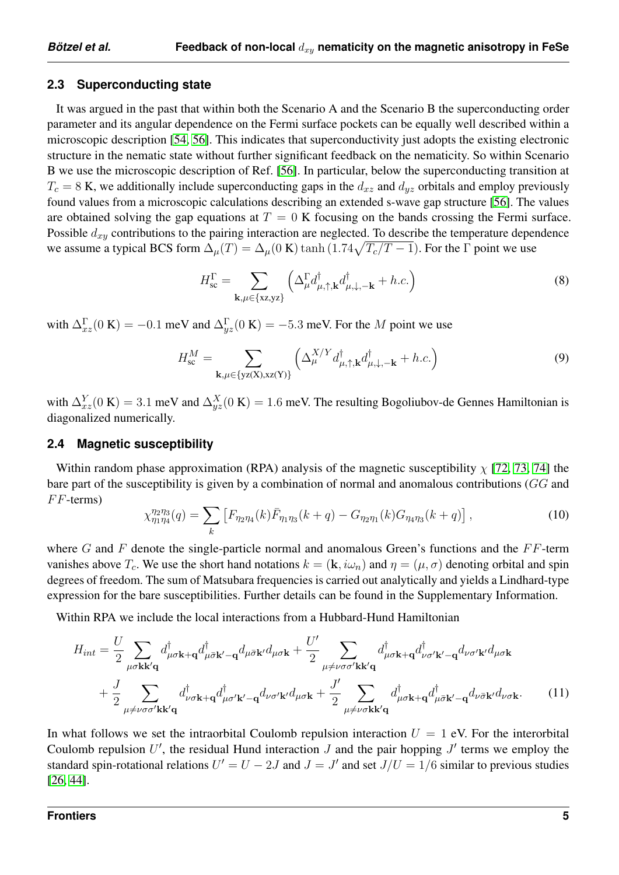#### **2.3 Superconducting state**

It was argued in the past that within both the Scenario A and the Scenario B the superconducting order parameter and its angular dependence on the Fermi surface pockets can be equally well described within a microscopic description [\[54,](#page-11-3) [56\]](#page-11-5). This indicates that superconductivity just adopts the existing electronic structure in the nematic state without further significant feedback on the nematicity. So within Scenario B we use the microscopic description of Ref. [\[56\]](#page-11-5). In particular, below the superconducting transition at  $T_c = 8$  K, we additionally include superconducting gaps in the  $d_{xz}$  and  $d_{yz}$  orbitals and employ previously found values from a microscopic calculations describing an extended s-wave gap structure [\[56\]](#page-11-5). The values are obtained solving the gap equations at  $T = 0$  K focusing on the bands crossing the Fermi surface. Possible  $d_{xy}$  contributions to the pairing interaction are neglected. To describe the temperature dependence we assume a typical BCS form  $\Delta_{\mu}(T) = \Delta_{\mu}(0 \text{ K}) \tanh(1.74\sqrt{T_c/T - 1})$ . For the  $\Gamma$  point we use

$$
H_{\rm sc}^{\Gamma} = \sum_{\mathbf{k}, \mu \in \{\text{xz}, \text{yz}\}} \left( \Delta_{\mu}^{\Gamma} d_{\mu, \uparrow, \mathbf{k}}^{\dagger} d_{\mu, \downarrow, -\mathbf{k}}^{\dagger} + h.c. \right) \tag{8}
$$

with  $\Delta_{xz}^{\Gamma}(0 \text{ K}) = -0.1 \text{ meV}$  and  $\Delta_{yz}^{\Gamma}(0 \text{ K}) = -5.3 \text{ meV}$ . For the M point we use

$$
H_{\rm sc}^M = \sum_{\mathbf{k}, \mu \in \{\text{yz(X)}, \text{xz(Y)}\}} \left( \Delta_{\mu}^{X/Y} d_{\mu, \uparrow, \mathbf{k}}^{\dagger} d_{\mu, \downarrow, -\mathbf{k}}^{\dagger} + h.c. \right)
$$
(9)

with  $\Delta_{xz}^Y(0|\mathbf{K}) = 3.1 \text{ meV}$  and  $\Delta_{yz}^X(0|\mathbf{K}) = 1.6 \text{ meV}$ . The resulting Bogoliubov-de Gennes Hamiltonian is diagonalized numerically.

#### **2.4 Magnetic susceptibility**

Within random phase approximation (RPA) analysis of the magnetic susceptibility  $\chi$  [\[72,](#page-12-3) [73,](#page-12-4) [74\]](#page-12-5) the bare part of the susceptibility is given by a combination of normal and anomalous contributions (GG and  $FF$ -terms)

<span id="page-4-0"></span>
$$
\chi_{\eta_1 \eta_4}^{\eta_2 \eta_3}(q) = \sum_k \left[ F_{\eta_2 \eta_4}(k) \bar{F}_{\eta_1 \eta_3}(k+q) - G_{\eta_2 \eta_1}(k) G_{\eta_4 \eta_3}(k+q) \right],\tag{10}
$$

where  $G$  and  $F$  denote the single-particle normal and anomalous Green's functions and the  $FF$ -term vanishes above  $T_c$ . We use the short hand notations  $k = (\mathbf{k}, i\omega_n)$  and  $\eta = (\mu, \sigma)$  denoting orbital and spin degrees of freedom. The sum of Matsubara frequencies is carried out analytically and yields a Lindhard-type expression for the bare susceptibilities. Further details can be found in the Supplementary Information.

Within RPA we include the local interactions from a Hubbard-Hund Hamiltonian

$$
H_{int} = \frac{U}{2} \sum_{\mu \sigma \mathbf{k} \mathbf{k}' \mathbf{q}} d^{\dagger}_{\mu \sigma \mathbf{k} + \mathbf{q}} d^{\dagger}_{\mu \bar{\sigma} \mathbf{k}' - \mathbf{q}} d_{\mu \bar{\sigma} \mathbf{k}'} d_{\mu \sigma \mathbf{k}} + \frac{U'}{2} \sum_{\mu \neq \nu \sigma \sigma' \mathbf{k} \mathbf{k}' \mathbf{q}} d^{\dagger}_{\mu \sigma \mathbf{k} + \mathbf{q}} d^{\dagger}_{\nu \sigma' \mathbf{k}' - \mathbf{q}} d_{\nu \sigma' \mathbf{k}'} d_{\mu \sigma \mathbf{k}} + \frac{J}{2} \sum_{\mu \neq \nu \sigma \sigma' \mathbf{k} \mathbf{k}' \mathbf{q}} d^{\dagger}_{\mu \sigma \mathbf{k} + \mathbf{q}} d^{\dagger}_{\mu \bar{\sigma} \mathbf{k}' - \mathbf{q}} d_{\nu \sigma' \mathbf{k}'} d_{\mu \sigma \mathbf{k}} + \frac{J'}{2} \sum_{\mu \neq \nu \sigma \mathbf{k} \mathbf{k}' \mathbf{q}} d^{\dagger}_{\mu \bar{\sigma} \mathbf{k} + \mathbf{q}} d^{\dagger}_{\mu \bar{\sigma} \mathbf{k}' - \mathbf{q}} d_{\nu \bar{\sigma} \mathbf{k}'} d_{\nu \sigma \mathbf{k}}.
$$
 (11)

In what follows we set the intraorbital Coulomb repulsion interaction  $U = 1$  eV. For the interorbital Coulomb repulsion  $U'$ , the residual Hund interaction  $J$  and the pair hopping  $J'$  terms we employ the standard spin-rotational relations  $U' = U - 2J$  and  $J = J'$  and set  $J/U = 1/6$  similar to previous studies [\[26,](#page-9-12) [44\]](#page-10-12).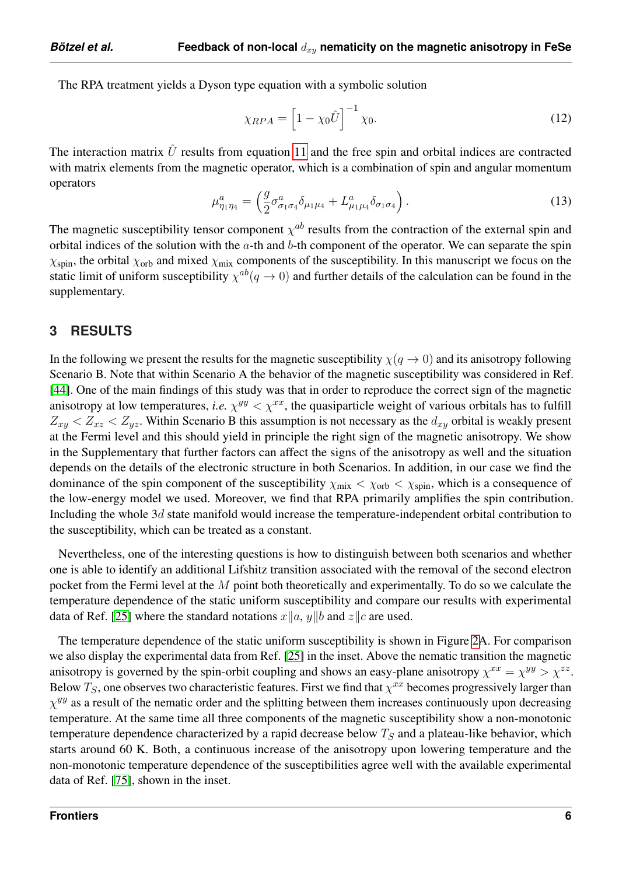The RPA treatment yields a Dyson type equation with a symbolic solution

$$
\chi_{RPA} = \left[1 - \chi_0 \hat{U}\right]^{-1} \chi_0. \tag{12}
$$

The interaction matrix  $\hat{U}$  results from equation [11](#page-4-0) and the free spin and orbital indices are contracted with matrix elements from the magnetic operator, which is a combination of spin and angular momentum operators

$$
\mu_{\eta_1 \eta_4}^a = \left(\frac{g}{2} \sigma_{\sigma_1 \sigma_4}^a \delta_{\mu_1 \mu_4} + L_{\mu_1 \mu_4}^a \delta_{\sigma_1 \sigma_4}\right). \tag{13}
$$

The magnetic susceptibility tensor component  $\chi^{ab}$  results from the contraction of the external spin and orbital indices of the solution with the  $a$ -th and  $b$ -th component of the operator. We can separate the spin  $\chi_{spin}$ , the orbital  $\chi_{orb}$  and mixed  $\chi_{mix}$  components of the susceptibility. In this manuscript we focus on the static limit of uniform susceptibility  $\chi^{ab}(q \to 0)$  and further details of the calculation can be found in the supplementary.

### **3 RESULTS**

In the following we present the results for the magnetic susceptibility  $\chi(q \to 0)$  and its anisotropy following Scenario B. Note that within Scenario A the behavior of the magnetic susceptibility was considered in Ref. [\[44\]](#page-10-12). One of the main findings of this study was that in order to reproduce the correct sign of the magnetic anisotropy at low temperatures, *i.e.*  $\chi^{yy} < \chi^{xx}$ , the quasiparticle weight of various orbitals has to fulfill  $Z_{xy} < Z_{xz} < Z_{yz}$ . Within Scenario B this assumption is not necessary as the  $d_{xy}$  orbital is weakly present at the Fermi level and this should yield in principle the right sign of the magnetic anisotropy. We show in the Supplementary that further factors can affect the signs of the anisotropy as well and the situation depends on the details of the electronic structure in both Scenarios. In addition, in our case we find the dominance of the spin component of the susceptibility  $\chi_{mix} < \chi_{orb} < \chi_{spin}$ , which is a consequence of the low-energy model we used. Moreover, we find that RPA primarily amplifies the spin contribution. Including the whole 3d state manifold would increase the temperature-independent orbital contribution to the susceptibility, which can be treated as a constant.

Nevertheless, one of the interesting questions is how to distinguish between both scenarios and whether one is able to identify an additional Lifshitz transition associated with the removal of the second electron pocket from the Fermi level at the M point both theoretically and experimentally. To do so we calculate the temperature dependence of the static uniform susceptibility and compare our results with experimental data of Ref. [\[25\]](#page-9-11) where the standard notations  $x||a, y||b$  and  $z||c$  are used.

The temperature dependence of the static uniform susceptibility is shown in Figure [2A](#page-14-0). For comparison we also display the experimental data from Ref. [\[25\]](#page-9-11) in the inset. Above the nematic transition the magnetic anisotropy is governed by the spin-orbit coupling and shows an easy-plane anisotropy  $\chi^{xx} = \chi^{yy} > \chi^{zz}$ . Below  $T_S$ , one observes two characteristic features. First we find that  $\chi^{xx}$  becomes progressively larger than  $\chi^{yy}$  as a result of the nematic order and the splitting between them increases continuously upon decreasing temperature. At the same time all three components of the magnetic susceptibility show a non-monotonic temperature dependence characterized by a rapid decrease below  $T<sub>S</sub>$  and a plateau-like behavior, which starts around 60 K. Both, a continuous increase of the anisotropy upon lowering temperature and the non-monotonic temperature dependence of the susceptibilities agree well with the available experimental data of Ref. [\[75\]](#page-12-6), shown in the inset.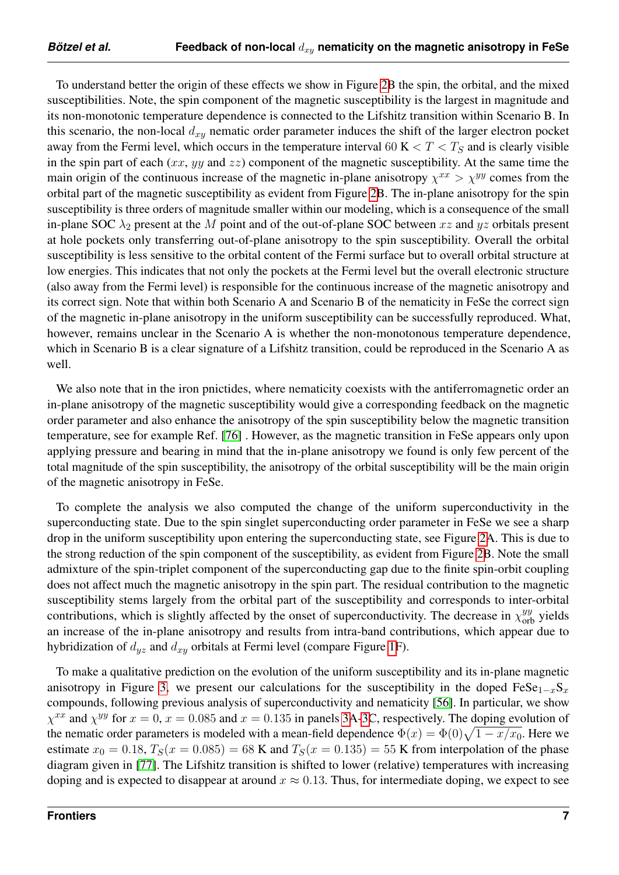To understand better the origin of these effects we show in Figure [2B](#page-14-0) the spin, the orbital, and the mixed susceptibilities. Note, the spin component of the magnetic susceptibility is the largest in magnitude and its non-monotonic temperature dependence is connected to the Lifshitz transition within Scenario B. In this scenario, the non-local  $d_{xy}$  nematic order parameter induces the shift of the larger electron pocket away from the Fermi level, which occurs in the temperature interval 60 K  $< T < T_S$  and is clearly visible in the spin part of each  $(xx, yy$  and  $zz)$  component of the magnetic susceptibility. At the same time the main origin of the continuous increase of the magnetic in-plane anisotropy  $\chi^{xx} > \chi^{yy}$  comes from the orbital part of the magnetic susceptibility as evident from Figure [2B](#page-14-0). The in-plane anisotropy for the spin susceptibility is three orders of magnitude smaller within our modeling, which is a consequence of the small in-plane SOC  $\lambda_2$  present at the M point and of the out-of-plane SOC between x and y z orbitals present at hole pockets only transferring out-of-plane anisotropy to the spin susceptibility. Overall the orbital susceptibility is less sensitive to the orbital content of the Fermi surface but to overall orbital structure at low energies. This indicates that not only the pockets at the Fermi level but the overall electronic structure (also away from the Fermi level) is responsible for the continuous increase of the magnetic anisotropy and its correct sign. Note that within both Scenario A and Scenario B of the nematicity in FeSe the correct sign of the magnetic in-plane anisotropy in the uniform susceptibility can be successfully reproduced. What, however, remains unclear in the Scenario A is whether the non-monotonous temperature dependence, which in Scenario B is a clear signature of a Lifshitz transition, could be reproduced in the Scenario A as well.

We also note that in the iron pnictides, where nematicity coexists with the antiferromagnetic order an in-plane anisotropy of the magnetic susceptibility would give a corresponding feedback on the magnetic order parameter and also enhance the anisotropy of the spin susceptibility below the magnetic transition temperature, see for example Ref. [\[76\]](#page-12-7) . However, as the magnetic transition in FeSe appears only upon applying pressure and bearing in mind that the in-plane anisotropy we found is only few percent of the total magnitude of the spin susceptibility, the anisotropy of the orbital susceptibility will be the main origin of the magnetic anisotropy in FeSe.

To complete the analysis we also computed the change of the uniform superconductivity in the superconducting state. Due to the spin singlet superconducting order parameter in FeSe we see a sharp drop in the uniform susceptibility upon entering the superconducting state, see Figure [2A](#page-14-0). This is due to the strong reduction of the spin component of the susceptibility, as evident from Figure [2B](#page-14-0). Note the small admixture of the spin-triplet component of the superconducting gap due to the finite spin-orbit coupling does not affect much the magnetic anisotropy in the spin part. The residual contribution to the magnetic susceptibility stems largely from the orbital part of the susceptibility and corresponds to inter-orbital contributions, which is slightly affected by the onset of superconductivity. The decrease in  $\chi_{orb}^{yy}$  yields an increase of the in-plane anisotropy and results from intra-band contributions, which appear due to hybridization of  $d_{yz}$  and  $d_{xy}$  orbitals at Fermi level (compare Figure [1F](#page-13-0)).

To make a qualitative prediction on the evolution of the uniform susceptibility and its in-plane magnetic anisotropy in Figure [3,](#page-14-1) we present our calculations for the susceptibility in the doped FeSe<sub>1−x</sub>S<sub>x</sub> compounds, following previous analysis of superconductivity and nematicity [\[56\]](#page-11-5). In particular, we show  $\chi^{xx}$  and  $\chi^{yy}$  for  $x = 0$ ,  $x = 0.085$  and  $x = 0.135$  in panels [3A-3C](#page-14-1), respectively. The doping evolution of the nematic order parameters is modeled with a mean-field dependence  $\Phi(x) = \Phi(0)\sqrt{1 - x/x_0}$ . Here we estimate  $x_0 = 0.18$ ,  $T_S(x = 0.085) = 68$  K and  $T_S(x = 0.135) = 55$  K from interpolation of the phase diagram given in [\[77\]](#page-12-8). The Lifshitz transition is shifted to lower (relative) temperatures with increasing doping and is expected to disappear at around  $x \approx 0.13$ . Thus, for intermediate doping, we expect to see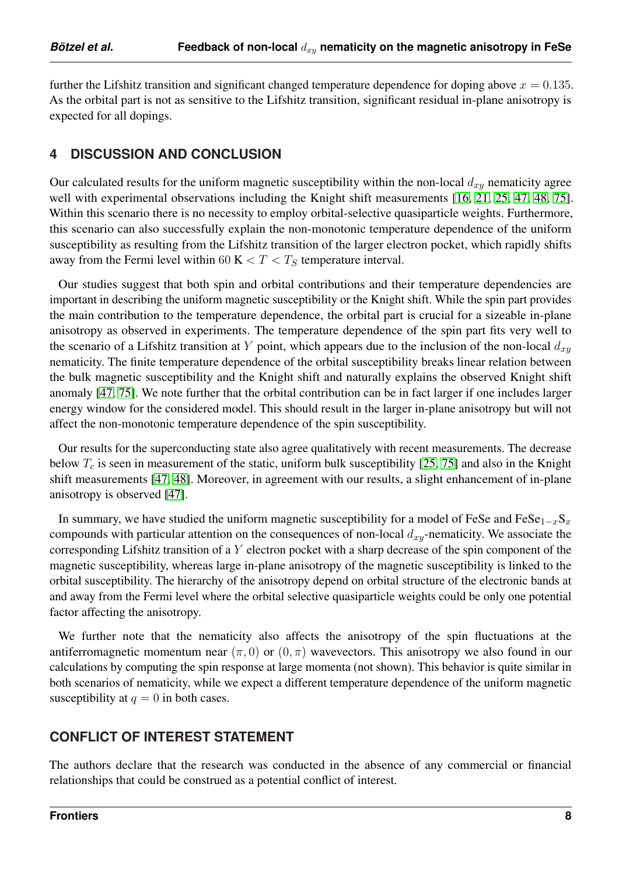further the Lifshitz transition and significant changed temperature dependence for doping above  $x = 0.135$ . As the orbital part is not as sensitive to the Lifshitz transition, significant residual in-plane anisotropy is expected for all dopings.

## **4 DISCUSSION AND CONCLUSION**

Our calculated results for the uniform magnetic susceptibility within the non-local  $d_{xy}$  nematicity agree well with experimental observations including the Knight shift measurements [\[16,](#page-9-2) [21,](#page-9-7) [25,](#page-9-11) [47,](#page-10-15) [48,](#page-10-16) [75\]](#page-12-6). Within this scenario there is no necessity to employ orbital-selective quasiparticle weights. Furthermore, this scenario can also successfully explain the non-monotonic temperature dependence of the uniform susceptibility as resulting from the Lifshitz transition of the larger electron pocket, which rapidly shifts away from the Fermi level within 60 K  $< T < T_S$  temperature interval.

Our studies suggest that both spin and orbital contributions and their temperature dependencies are important in describing the uniform magnetic susceptibility or the Knight shift. While the spin part provides the main contribution to the temperature dependence, the orbital part is crucial for a sizeable in-plane anisotropy as observed in experiments. The temperature dependence of the spin part fits very well to the scenario of a Lifshitz transition at Y point, which appears due to the inclusion of the non-local  $d_{x,y}$ nematicity. The finite temperature dependence of the orbital susceptibility breaks linear relation between the bulk magnetic susceptibility and the Knight shift and naturally explains the observed Knight shift anomaly [\[47,](#page-10-15) [75\]](#page-12-6). We note further that the orbital contribution can be in fact larger if one includes larger energy window for the considered model. This should result in the larger in-plane anisotropy but will not affect the non-monotonic temperature dependence of the spin susceptibility.

Our results for the superconducting state also agree qualitatively with recent measurements. The decrease below  $T_c$  is seen in measurement of the static, uniform bulk susceptibility [\[25,](#page-9-11) [75\]](#page-12-6) and also in the Knight shift measurements [\[47,](#page-10-15) [48\]](#page-10-16). Moreover, in agreement with our results, a slight enhancement of in-plane anisotropy is observed [\[47\]](#page-10-15).

In summary, we have studied the uniform magnetic susceptibility for a model of FeSe and FeSe<sub>1−x</sub>S<sub>x</sub> compounds with particular attention on the consequences of non-local  $d_{xy}$ -nematicity. We associate the corresponding Lifshitz transition of a Y electron pocket with a sharp decrease of the spin component of the magnetic susceptibility, whereas large in-plane anisotropy of the magnetic susceptibility is linked to the orbital susceptibility. The hierarchy of the anisotropy depend on orbital structure of the electronic bands at and away from the Fermi level where the orbital selective quasiparticle weights could be only one potential factor affecting the anisotropy.

We further note that the nematicity also affects the anisotropy of the spin fluctuations at the antiferromagnetic momentum near  $(\pi, 0)$  or  $(0, \pi)$  wavevectors. This anisotropy we also found in our calculations by computing the spin response at large momenta (not shown). This behavior is quite similar in both scenarios of nematicity, while we expect a different temperature dependence of the uniform magnetic susceptibility at  $q = 0$  in both cases.

#### **CONFLICT OF INTEREST STATEMENT**

The authors declare that the research was conducted in the absence of any commercial or financial relationships that could be construed as a potential conflict of interest.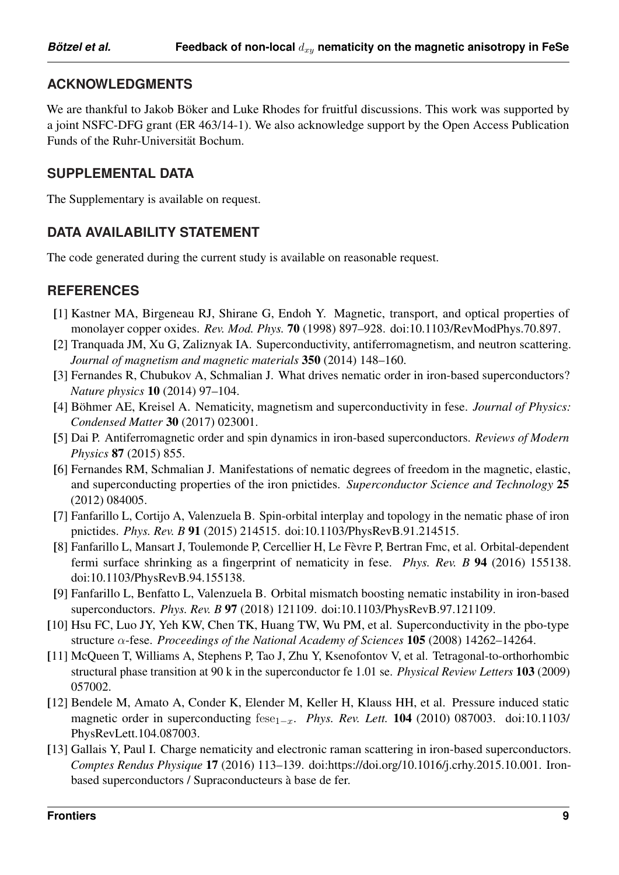## **ACKNOWLEDGMENTS**

We are thankful to Jakob Böker and Luke Rhodes for fruitful discussions. This work was supported by a joint NSFC-DFG grant (ER 463/14-1). We also acknowledge support by the Open Access Publication Funds of the Ruhr-Universität Bochum.

## **SUPPLEMENTAL DATA**

The Supplementary is available on request.

## **DATA AVAILABILITY STATEMENT**

The code generated during the current study is available on reasonable request.

### **REFERENCES**

- <span id="page-8-0"></span>[1] Kastner MA, Birgeneau RJ, Shirane G, Endoh Y. Magnetic, transport, and optical properties of monolayer copper oxides. *Rev. Mod. Phys.* 70 (1998) 897–928. doi:10.1103/RevModPhys.70.897.
- <span id="page-8-1"></span>[2] Tranquada JM, Xu G, Zaliznyak IA. Superconductivity, antiferromagnetism, and neutron scattering. *Journal of magnetism and magnetic materials* 350 (2014) 148–160.
- <span id="page-8-2"></span>[3] Fernandes R, Chubukov A, Schmalian J. What drives nematic order in iron-based superconductors? *Nature physics* 10 (2014) 97–104.
- <span id="page-8-3"></span>[4] Böhmer AE, Kreisel A. Nematicity, magnetism and superconductivity in fese. *Journal of Physics: Condensed Matter* 30 (2017) 023001.
- <span id="page-8-4"></span>[5] Dai P. Antiferromagnetic order and spin dynamics in iron-based superconductors. *Reviews of Modern Physics* 87 (2015) 855.
- <span id="page-8-5"></span>[6] Fernandes RM, Schmalian J. Manifestations of nematic degrees of freedom in the magnetic, elastic, and superconducting properties of the iron pnictides. *Superconductor Science and Technology* 25 (2012) 084005.
- <span id="page-8-6"></span>[7] Fanfarillo L, Cortijo A, Valenzuela B. Spin-orbital interplay and topology in the nematic phase of iron pnictides. *Phys. Rev. B* 91 (2015) 214515. doi:10.1103/PhysRevB.91.214515.
- <span id="page-8-7"></span>[8] Fanfarillo L, Mansart J, Toulemonde P, Cercellier H, Le Fèvre P, Bertran Fmc, et al. Orbital-dependent fermi surface shrinking as a fingerprint of nematicity in fese. *Phys. Rev. B* 94 (2016) 155138. doi:10.1103/PhysRevB.94.155138.
- <span id="page-8-8"></span>[9] Fanfarillo L, Benfatto L, Valenzuela B. Orbital mismatch boosting nematic instability in iron-based superconductors. *Phys. Rev. B* 97 (2018) 121109. doi:10.1103/PhysRevB.97.121109.
- <span id="page-8-9"></span>[10] Hsu FC, Luo JY, Yeh KW, Chen TK, Huang TW, Wu PM, et al. Superconductivity in the pbo-type structure α-fese. *Proceedings of the National Academy of Sciences* 105 (2008) 14262–14264.
- <span id="page-8-10"></span>[11] McQueen T, Williams A, Stephens P, Tao J, Zhu Y, Ksenofontov V, et al. Tetragonal-to-orthorhombic structural phase transition at 90 k in the superconductor fe 1.01 se. *Physical Review Letters* 103 (2009) 057002.
- <span id="page-8-11"></span>[12] Bendele M, Amato A, Conder K, Elender M, Keller H, Klauss HH, et al. Pressure induced static magnetic order in superconducting fese<sub>1−x</sub>. *Phys. Rev. Lett.* **104** (2010) 087003. doi:10.1103/ PhysRevLett.104.087003.
- <span id="page-8-12"></span>[13] Gallais Y, Paul I. Charge nematicity and electronic raman scattering in iron-based superconductors. *Comptes Rendus Physique* 17 (2016) 113–139. doi:https://doi.org/10.1016/j.crhy.2015.10.001. Ironbased superconductors / Supraconducteurs à base de fer.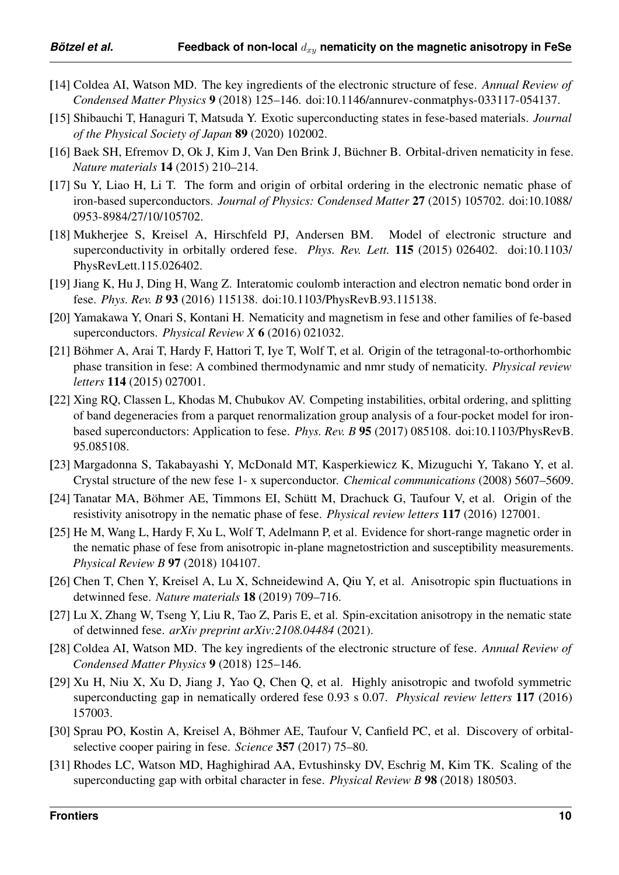- <span id="page-9-0"></span>[14] Coldea AI, Watson MD. The key ingredients of the electronic structure of fese. *Annual Review of Condensed Matter Physics* 9 (2018) 125–146. doi:10.1146/annurev-conmatphys-033117-054137.
- <span id="page-9-1"></span>[15] Shibauchi T, Hanaguri T, Matsuda Y. Exotic superconducting states in fese-based materials. *Journal of the Physical Society of Japan* 89 (2020) 102002.
- <span id="page-9-2"></span>[16] Baek SH, Efremov D, Ok J, Kim J, Van Den Brink J, Büchner B. Orbital-driven nematicity in fese. *Nature materials* 14 (2015) 210–214.
- <span id="page-9-3"></span>[17] Su Y, Liao H, Li T. The form and origin of orbital ordering in the electronic nematic phase of iron-based superconductors. *Journal of Physics: Condensed Matter* 27 (2015) 105702. doi:10.1088/ 0953-8984/27/10/105702.
- <span id="page-9-4"></span>[18] Mukherjee S, Kreisel A, Hirschfeld PJ, Andersen BM. Model of electronic structure and superconductivity in orbitally ordered fese. *Phys. Rev. Lett.* 115 (2015) 026402. doi:10.1103/ PhysRevLett.115.026402.
- <span id="page-9-5"></span>[19] Jiang K, Hu J, Ding H, Wang Z. Interatomic coulomb interaction and electron nematic bond order in fese. *Phys. Rev. B* 93 (2016) 115138. doi:10.1103/PhysRevB.93.115138.
- <span id="page-9-6"></span>[20] Yamakawa Y, Onari S, Kontani H. Nematicity and magnetism in fese and other families of fe-based superconductors. *Physical Review X* 6 (2016) 021032.
- <span id="page-9-7"></span>[21] Böhmer A, Arai T, Hardy F, Hattori T, Iye T, Wolf T, et al. Origin of the tetragonal-to-orthorhombic phase transition in fese: A combined thermodynamic and nmr study of nematicity. *Physical review letters* 114 (2015) 027001.
- <span id="page-9-8"></span>[22] Xing RQ, Classen L, Khodas M, Chubukov AV. Competing instabilities, orbital ordering, and splitting of band degeneracies from a parquet renormalization group analysis of a four-pocket model for ironbased superconductors: Application to fese. *Phys. Rev. B* 95 (2017) 085108. doi:10.1103/PhysRevB. 95.085108.
- <span id="page-9-9"></span>[23] Margadonna S, Takabayashi Y, McDonald MT, Kasperkiewicz K, Mizuguchi Y, Takano Y, et al. Crystal structure of the new fese 1- x superconductor. *Chemical communications* (2008) 5607–5609.
- <span id="page-9-10"></span>[24] Tanatar MA, Böhmer AE, Timmons EI, Schütt M, Drachuck G, Taufour V, et al. Origin of the resistivity anisotropy in the nematic phase of fese. *Physical review letters* 117 (2016) 127001.
- <span id="page-9-11"></span>[25] He M, Wang L, Hardy F, Xu L, Wolf T, Adelmann P, et al. Evidence for short-range magnetic order in the nematic phase of fese from anisotropic in-plane magnetostriction and susceptibility measurements. *Physical Review B* 97 (2018) 104107.
- <span id="page-9-12"></span>[26] Chen T, Chen Y, Kreisel A, Lu X, Schneidewind A, Qiu Y, et al. Anisotropic spin fluctuations in detwinned fese. *Nature materials* 18 (2019) 709–716.
- <span id="page-9-13"></span>[27] Lu X, Zhang W, Tseng Y, Liu R, Tao Z, Paris E, et al. Spin-excitation anisotropy in the nematic state of detwinned fese. *arXiv preprint arXiv:2108.04484* (2021).
- <span id="page-9-14"></span>[28] Coldea AI, Watson MD. The key ingredients of the electronic structure of fese. *Annual Review of Condensed Matter Physics* 9 (2018) 125–146.
- <span id="page-9-15"></span>[29] Xu H, Niu X, Xu D, Jiang J, Yao Q, Chen Q, et al. Highly anisotropic and twofold symmetric superconducting gap in nematically ordered fese 0.93 s 0.07. *Physical review letters* 117 (2016) 157003.
- <span id="page-9-16"></span>[30] Sprau PO, Kostin A, Kreisel A, Böhmer AE, Taufour V, Canfield PC, et al. Discovery of orbitalselective cooper pairing in fese. *Science* 357 (2017) 75–80.
- <span id="page-9-17"></span>[31] Rhodes LC, Watson MD, Haghighirad AA, Evtushinsky DV, Eschrig M, Kim TK. Scaling of the superconducting gap with orbital character in fese. *Physical Review B* 98 (2018) 180503.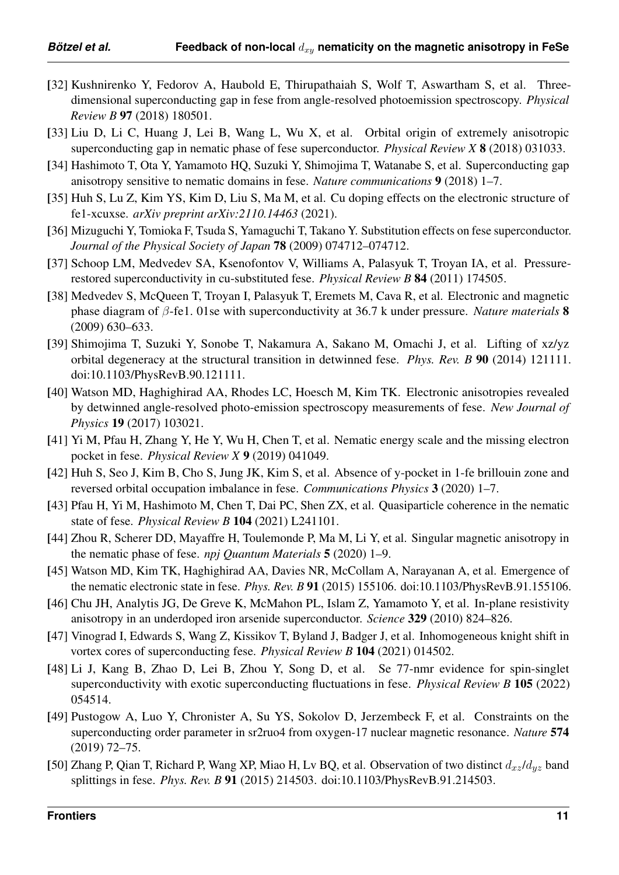- <span id="page-10-0"></span>[32] Kushnirenko Y, Fedorov A, Haubold E, Thirupathaiah S, Wolf T, Aswartham S, et al. Threedimensional superconducting gap in fese from angle-resolved photoemission spectroscopy. *Physical Review B* 97 (2018) 180501.
- <span id="page-10-1"></span>[33] Liu D, Li C, Huang J, Lei B, Wang L, Wu X, et al. Orbital origin of extremely anisotropic superconducting gap in nematic phase of fese superconductor. *Physical Review X* 8 (2018) 031033.
- <span id="page-10-2"></span>[34] Hashimoto T, Ota Y, Yamamoto HQ, Suzuki Y, Shimojima T, Watanabe S, et al. Superconducting gap anisotropy sensitive to nematic domains in fese. *Nature communications* 9 (2018) 1–7.
- <span id="page-10-3"></span>[35] Huh S, Lu Z, Kim YS, Kim D, Liu S, Ma M, et al. Cu doping effects on the electronic structure of fe1-xcuxse. *arXiv preprint arXiv:2110.14463* (2021).
- <span id="page-10-4"></span>[36] Mizuguchi Y, Tomioka F, Tsuda S, Yamaguchi T, Takano Y. Substitution effects on fese superconductor. *Journal of the Physical Society of Japan* 78 (2009) 074712–074712.
- <span id="page-10-5"></span>[37] Schoop LM, Medvedev SA, Ksenofontov V, Williams A, Palasyuk T, Troyan IA, et al. Pressurerestored superconductivity in cu-substituted fese. *Physical Review B* 84 (2011) 174505.
- <span id="page-10-6"></span>[38] Medvedev S, McQueen T, Troyan I, Palasyuk T, Eremets M, Cava R, et al. Electronic and magnetic phase diagram of β-fe1. 01se with superconductivity at 36.7 k under pressure. *Nature materials* 8 (2009) 630–633.
- <span id="page-10-7"></span>[39] Shimojima T, Suzuki Y, Sonobe T, Nakamura A, Sakano M, Omachi J, et al. Lifting of xz/yz orbital degeneracy at the structural transition in detwinned fese. *Phys. Rev. B* 90 (2014) 121111. doi:10.1103/PhysRevB.90.121111.
- <span id="page-10-8"></span>[40] Watson MD, Haghighirad AA, Rhodes LC, Hoesch M, Kim TK. Electronic anisotropies revealed by detwinned angle-resolved photo-emission spectroscopy measurements of fese. *New Journal of Physics* 19 (2017) 103021.
- <span id="page-10-9"></span>[41] Yi M, Pfau H, Zhang Y, He Y, Wu H, Chen T, et al. Nematic energy scale and the missing electron pocket in fese. *Physical Review X* 9 (2019) 041049.
- <span id="page-10-10"></span>[42] Huh S, Seo J, Kim B, Cho S, Jung JK, Kim S, et al. Absence of y-pocket in 1-fe brillouin zone and reversed orbital occupation imbalance in fese. *Communications Physics* 3 (2020) 1–7.
- <span id="page-10-11"></span>[43] Pfau H, Yi M, Hashimoto M, Chen T, Dai PC, Shen ZX, et al. Quasiparticle coherence in the nematic state of fese. *Physical Review B* 104 (2021) L241101.
- <span id="page-10-12"></span>[44] Zhou R, Scherer DD, Mayaffre H, Toulemonde P, Ma M, Li Y, et al. Singular magnetic anisotropy in the nematic phase of fese. *npj Quantum Materials* 5 (2020) 1–9.
- <span id="page-10-13"></span>[45] Watson MD, Kim TK, Haghighirad AA, Davies NR, McCollam A, Narayanan A, et al. Emergence of the nematic electronic state in fese. *Phys. Rev. B* 91 (2015) 155106. doi:10.1103/PhysRevB.91.155106.
- <span id="page-10-14"></span>[46] Chu JH, Analytis JG, De Greve K, McMahon PL, Islam Z, Yamamoto Y, et al. In-plane resistivity anisotropy in an underdoped iron arsenide superconductor. *Science* 329 (2010) 824–826.
- <span id="page-10-15"></span>[47] Vinograd I, Edwards S, Wang Z, Kissikov T, Byland J, Badger J, et al. Inhomogeneous knight shift in vortex cores of superconducting fese. *Physical Review B* 104 (2021) 014502.
- <span id="page-10-16"></span>[48] Li J, Kang B, Zhao D, Lei B, Zhou Y, Song D, et al. Se 77-nmr evidence for spin-singlet superconductivity with exotic superconducting fluctuations in fese. *Physical Review B* 105 (2022) 054514.
- <span id="page-10-17"></span>[49] Pustogow A, Luo Y, Chronister A, Su YS, Sokolov D, Jerzembeck F, et al. Constraints on the superconducting order parameter in sr2ruo4 from oxygen-17 nuclear magnetic resonance. *Nature* 574 (2019) 72–75.
- <span id="page-10-18"></span>[50] Zhang P, Qian T, Richard P, Wang XP, Miao H, Lv BQ, et al. Observation of two distinct  $d_{xz}/d_{yz}$  band splittings in fese. *Phys. Rev. B* 91 (2015) 214503. doi:10.1103/PhysRevB.91.214503.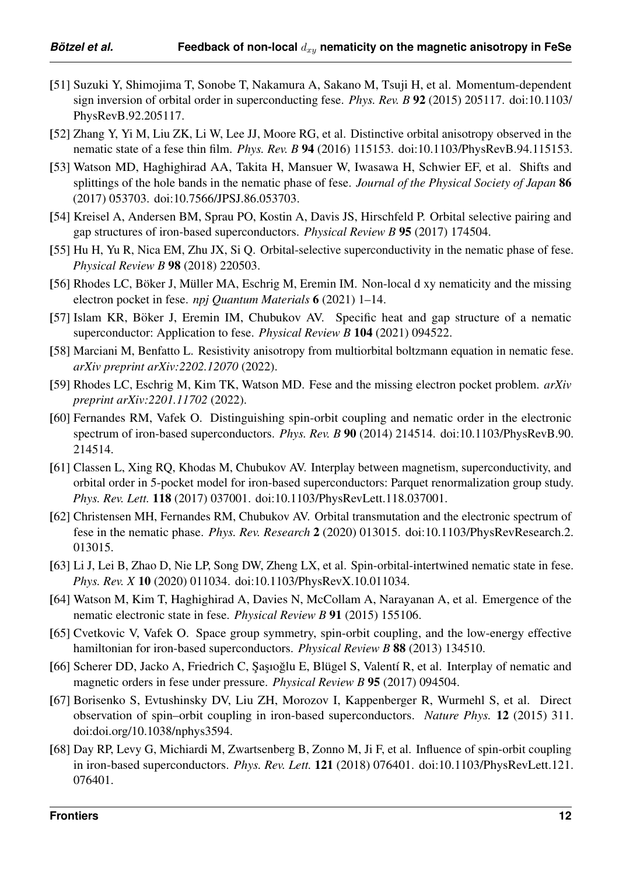- <span id="page-11-0"></span>[51] Suzuki Y, Shimojima T, Sonobe T, Nakamura A, Sakano M, Tsuji H, et al. Momentum-dependent sign inversion of orbital order in superconducting fese. *Phys. Rev. B* 92 (2015) 205117. doi:10.1103/ PhysRevB.92.205117.
- <span id="page-11-1"></span>[52] Zhang Y, Yi M, Liu ZK, Li W, Lee JJ, Moore RG, et al. Distinctive orbital anisotropy observed in the nematic state of a fese thin film. *Phys. Rev. B* 94 (2016) 115153. doi:10.1103/PhysRevB.94.115153.
- <span id="page-11-2"></span>[53] Watson MD, Haghighirad AA, Takita H, Mansuer W, Iwasawa H, Schwier EF, et al. Shifts and splittings of the hole bands in the nematic phase of fese. *Journal of the Physical Society of Japan* 86 (2017) 053703. doi:10.7566/JPSJ.86.053703.
- <span id="page-11-3"></span>[54] Kreisel A, Andersen BM, Sprau PO, Kostin A, Davis JS, Hirschfeld P. Orbital selective pairing and gap structures of iron-based superconductors. *Physical Review B* 95 (2017) 174504.
- <span id="page-11-4"></span>[55] Hu H, Yu R, Nica EM, Zhu JX, Si Q. Orbital-selective superconductivity in the nematic phase of fese. *Physical Review B* 98 (2018) 220503.
- <span id="page-11-5"></span>[56] Rhodes LC, Böker J, Müller MA, Eschrig M, Eremin IM. Non-local d xy nematicity and the missing electron pocket in fese. *npj Quantum Materials* 6 (2021) 1–14.
- <span id="page-11-6"></span>[57] Islam KR, Böker J, Eremin IM, Chubukov AV. Specific heat and gap structure of a nematic superconductor: Application to fese. *Physical Review B* 104 (2021) 094522.
- <span id="page-11-7"></span>[58] Marciani M, Benfatto L. Resistivity anisotropy from multiorbital boltzmann equation in nematic fese. *arXiv preprint arXiv:2202.12070* (2022).
- <span id="page-11-8"></span>[59] Rhodes LC, Eschrig M, Kim TK, Watson MD. Fese and the missing electron pocket problem. *arXiv preprint arXiv:2201.11702* (2022).
- <span id="page-11-9"></span>[60] Fernandes RM, Vafek O. Distinguishing spin-orbit coupling and nematic order in the electronic spectrum of iron-based superconductors. *Phys. Rev. B* 90 (2014) 214514. doi:10.1103/PhysRevB.90. 214514.
- <span id="page-11-10"></span>[61] Classen L, Xing RQ, Khodas M, Chubukov AV. Interplay between magnetism, superconductivity, and orbital order in 5-pocket model for iron-based superconductors: Parquet renormalization group study. *Phys. Rev. Lett.* 118 (2017) 037001. doi:10.1103/PhysRevLett.118.037001.
- <span id="page-11-11"></span>[62] Christensen MH, Fernandes RM, Chubukov AV. Orbital transmutation and the electronic spectrum of fese in the nematic phase. *Phys. Rev. Research* 2 (2020) 013015. doi:10.1103/PhysRevResearch.2. 013015.
- <span id="page-11-12"></span>[63] Li J, Lei B, Zhao D, Nie LP, Song DW, Zheng LX, et al. Spin-orbital-intertwined nematic state in fese. *Phys. Rev. X* 10 (2020) 011034. doi:10.1103/PhysRevX.10.011034.
- <span id="page-11-13"></span>[64] Watson M, Kim T, Haghighirad A, Davies N, McCollam A, Narayanan A, et al. Emergence of the nematic electronic state in fese. *Physical Review B* 91 (2015) 155106.
- <span id="page-11-14"></span>[65] Cvetkovic V, Vafek O. Space group symmetry, spin-orbit coupling, and the low-energy effective hamiltonian for iron-based superconductors. *Physical Review B* 88 (2013) 134510.
- <span id="page-11-15"></span>[66] Scherer DD, Jacko A, Friedrich C, Sasioglu E, Blügel S, Valentí R, et al. Interplay of nematic and magnetic orders in fese under pressure. *Physical Review B* 95 (2017) 094504.
- <span id="page-11-16"></span>[67] Borisenko S, Evtushinsky DV, Liu ZH, Morozov I, Kappenberger R, Wurmehl S, et al. Direct observation of spin–orbit coupling in iron-based superconductors. *Nature Phys.* 12 (2015) 311. doi:doi.org/10.1038/nphys3594.
- <span id="page-11-17"></span>[68] Day RP, Levy G, Michiardi M, Zwartsenberg B, Zonno M, Ji F, et al. Influence of spin-orbit coupling in iron-based superconductors. *Phys. Rev. Lett.* 121 (2018) 076401. doi:10.1103/PhysRevLett.121. 076401.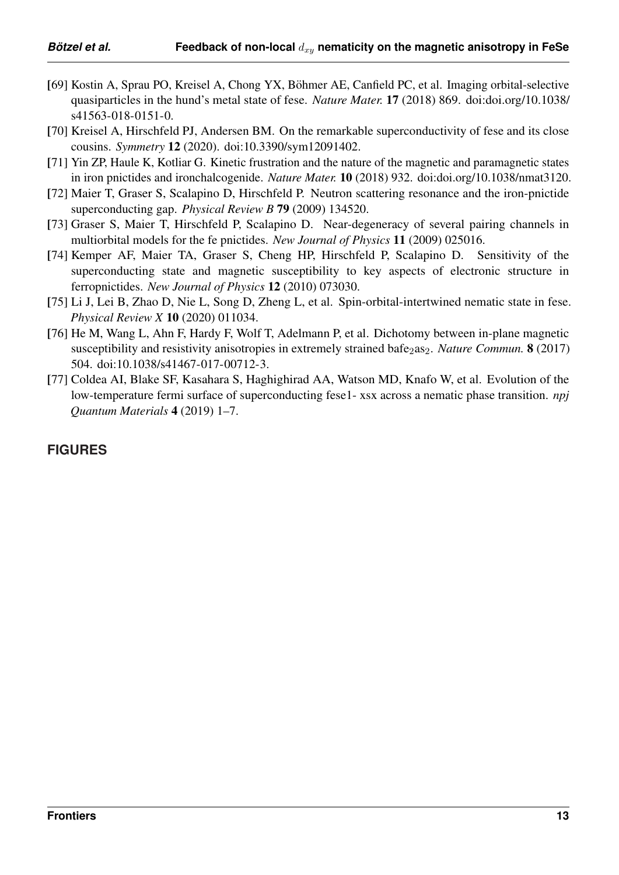- <span id="page-12-0"></span>[69] Kostin A, Sprau PO, Kreisel A, Chong YX, Böhmer AE, Canfield PC, et al. Imaging orbital-selective quasiparticles in the hund's metal state of fese. *Nature Mater.* 17 (2018) 869. doi:doi.org/10.1038/ s41563-018-0151-0.
- <span id="page-12-1"></span>[70] Kreisel A, Hirschfeld PJ, Andersen BM. On the remarkable superconductivity of fese and its close cousins. *Symmetry* 12 (2020). doi:10.3390/sym12091402.
- <span id="page-12-2"></span>[71] Yin ZP, Haule K, Kotliar G. Kinetic frustration and the nature of the magnetic and paramagnetic states in iron pnictides and ironchalcogenide. *Nature Mater.* 10 (2018) 932. doi:doi.org/10.1038/nmat3120.
- <span id="page-12-3"></span>[72] Maier T, Graser S, Scalapino D, Hirschfeld P. Neutron scattering resonance and the iron-pnictide superconducting gap. *Physical Review B* 79 (2009) 134520.
- <span id="page-12-4"></span>[73] Graser S, Maier T, Hirschfeld P, Scalapino D. Near-degeneracy of several pairing channels in multiorbital models for the fe pnictides. *New Journal of Physics* 11 (2009) 025016.
- <span id="page-12-5"></span>[74] Kemper AF, Maier TA, Graser S, Cheng HP, Hirschfeld P, Scalapino D. Sensitivity of the superconducting state and magnetic susceptibility to key aspects of electronic structure in ferropnictides. *New Journal of Physics* 12 (2010) 073030.
- <span id="page-12-6"></span>[75] Li J, Lei B, Zhao D, Nie L, Song D, Zheng L, et al. Spin-orbital-intertwined nematic state in fese. *Physical Review X* 10 (2020) 011034.
- <span id="page-12-7"></span>[76] He M, Wang L, Ahn F, Hardy F, Wolf T, Adelmann P, et al. Dichotomy between in-plane magnetic susceptibility and resistivity anisotropies in extremely strained bafe<sub>2</sub>as<sub>2</sub>. *Nature Commun.* **8** (2017) 504. doi:10.1038/s41467-017-00712-3.
- <span id="page-12-8"></span>[77] Coldea AI, Blake SF, Kasahara S, Haghighirad AA, Watson MD, Knafo W, et al. Evolution of the low-temperature fermi surface of superconducting fese1- xsx across a nematic phase transition. *npj Quantum Materials* 4 (2019) 1–7.

# **FIGURES**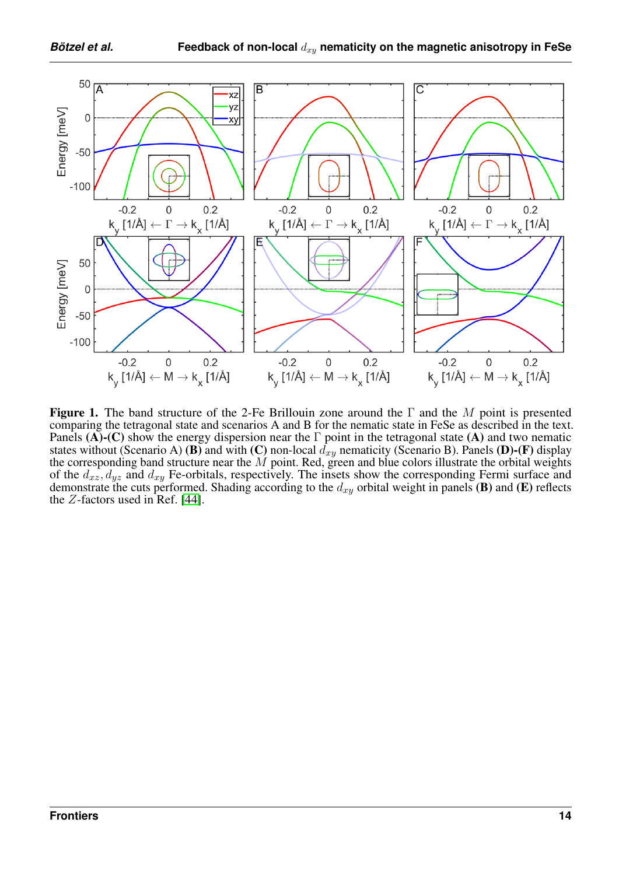<span id="page-13-0"></span>

**Figure 1.** The band structure of the 2-Fe Brillouin zone around the  $\Gamma$  and the M point is presented comparing the tetragonal state and scenarios A and B for the nematic state in FeSe as described in the text. Panels (A)-(C) show the energy dispersion near the  $\Gamma$  point in the tetragonal state (A) and two nematic states without (Scenario A) (B) and with (C) non-local  $d_{xy}$  nematicity (Scenario B). Panels (D)-(F) display the corresponding band structure near the  $M$  point. Red, green and blue colors illustrate the orbital weights of the  $d_{xz}$ ,  $d_{yz}$  and  $d_{xy}$  Fe-orbitals, respectively. The insets show the corresponding Fermi surface and demonstrate the cuts performed. Shading according to the  $d_{xy}$  orbital weight in panels (B) and (E) reflects the Z-factors used in Ref. [\[44\]](#page-10-12).